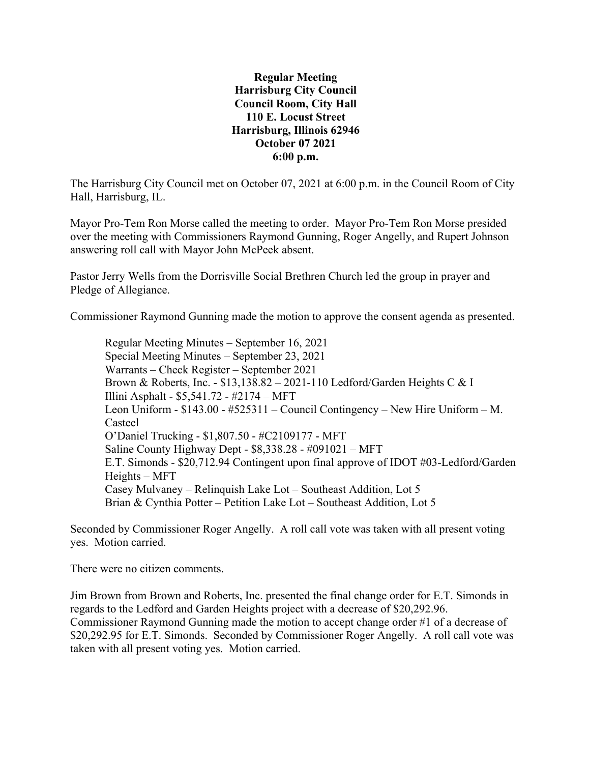**Regular Meeting Harrisburg City Council Council Room, City Hall 110 E. Locust Street Harrisburg, Illinois 62946 October 07 2021 6:00 p.m.**

The Harrisburg City Council met on October 07, 2021 at 6:00 p.m. in the Council Room of City Hall, Harrisburg, IL.

Mayor Pro-Tem Ron Morse called the meeting to order. Mayor Pro-Tem Ron Morse presided over the meeting with Commissioners Raymond Gunning, Roger Angelly, and Rupert Johnson answering roll call with Mayor John McPeek absent.

Pastor Jerry Wells from the Dorrisville Social Brethren Church led the group in prayer and Pledge of Allegiance.

Commissioner Raymond Gunning made the motion to approve the consent agenda as presented.

Regular Meeting Minutes – September 16, 2021 Special Meeting Minutes – September 23, 2021 Warrants – Check Register – September 2021 Brown & Roberts, Inc. - \$13,138.82 – 2021-110 Ledford/Garden Heights C & I Illini Asphalt - \$5,541.72 - #2174 – MFT Leon Uniform - \$143.00 - #525311 – Council Contingency – New Hire Uniform – M. Casteel O'Daniel Trucking - \$1,807.50 - #C2109177 - MFT Saline County Highway Dept - \$8,338.28 - #091021 – MFT E.T. Simonds - \$20,712.94 Contingent upon final approve of IDOT #03-Ledford/Garden Heights – MFT Casey Mulvaney – Relinquish Lake Lot – Southeast Addition, Lot 5 Brian & Cynthia Potter – Petition Lake Lot – Southeast Addition, Lot 5

Seconded by Commissioner Roger Angelly. A roll call vote was taken with all present voting yes. Motion carried.

There were no citizen comments.

Jim Brown from Brown and Roberts, Inc. presented the final change order for E.T. Simonds in regards to the Ledford and Garden Heights project with a decrease of \$20,292.96. Commissioner Raymond Gunning made the motion to accept change order #1 of a decrease of \$20,292.95 for E.T. Simonds. Seconded by Commissioner Roger Angelly. A roll call vote was taken with all present voting yes. Motion carried.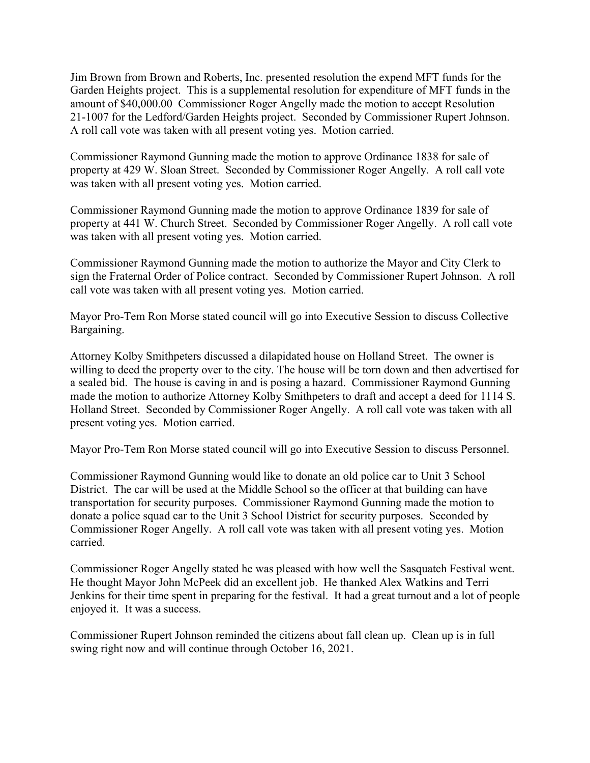Jim Brown from Brown and Roberts, Inc. presented resolution the expend MFT funds for the Garden Heights project. This is a supplemental resolution for expenditure of MFT funds in the amount of \$40,000.00 Commissioner Roger Angelly made the motion to accept Resolution 21-1007 for the Ledford/Garden Heights project. Seconded by Commissioner Rupert Johnson. A roll call vote was taken with all present voting yes. Motion carried.

Commissioner Raymond Gunning made the motion to approve Ordinance 1838 for sale of property at 429 W. Sloan Street. Seconded by Commissioner Roger Angelly. A roll call vote was taken with all present voting yes. Motion carried.

Commissioner Raymond Gunning made the motion to approve Ordinance 1839 for sale of property at 441 W. Church Street. Seconded by Commissioner Roger Angelly. A roll call vote was taken with all present voting yes. Motion carried.

Commissioner Raymond Gunning made the motion to authorize the Mayor and City Clerk to sign the Fraternal Order of Police contract. Seconded by Commissioner Rupert Johnson. A roll call vote was taken with all present voting yes. Motion carried.

Mayor Pro-Tem Ron Morse stated council will go into Executive Session to discuss Collective Bargaining.

Attorney Kolby Smithpeters discussed a dilapidated house on Holland Street. The owner is willing to deed the property over to the city. The house will be torn down and then advertised for a sealed bid. The house is caving in and is posing a hazard. Commissioner Raymond Gunning made the motion to authorize Attorney Kolby Smithpeters to draft and accept a deed for 1114 S. Holland Street. Seconded by Commissioner Roger Angelly. A roll call vote was taken with all present voting yes. Motion carried.

Mayor Pro-Tem Ron Morse stated council will go into Executive Session to discuss Personnel.

Commissioner Raymond Gunning would like to donate an old police car to Unit 3 School District. The car will be used at the Middle School so the officer at that building can have transportation for security purposes. Commissioner Raymond Gunning made the motion to donate a police squad car to the Unit 3 School District for security purposes. Seconded by Commissioner Roger Angelly. A roll call vote was taken with all present voting yes. Motion carried.

Commissioner Roger Angelly stated he was pleased with how well the Sasquatch Festival went. He thought Mayor John McPeek did an excellent job. He thanked Alex Watkins and Terri Jenkins for their time spent in preparing for the festival. It had a great turnout and a lot of people enjoyed it. It was a success.

Commissioner Rupert Johnson reminded the citizens about fall clean up. Clean up is in full swing right now and will continue through October 16, 2021.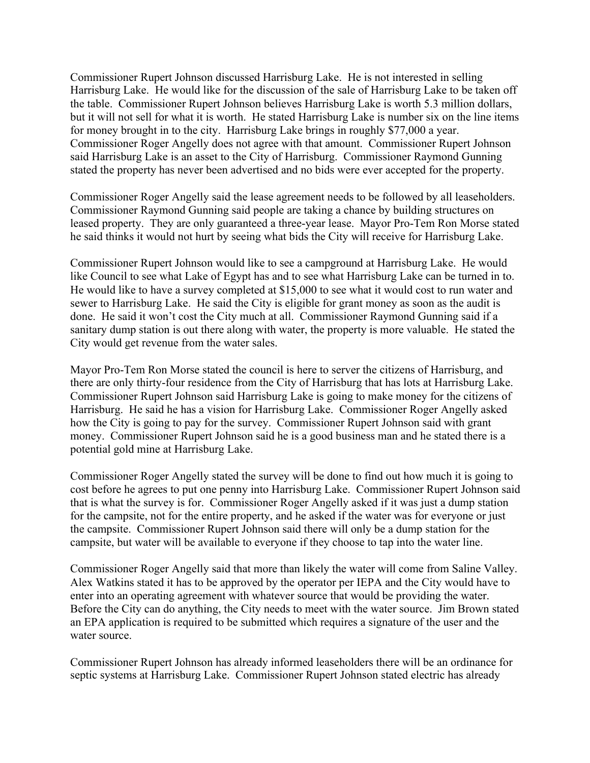Commissioner Rupert Johnson discussed Harrisburg Lake. He is not interested in selling Harrisburg Lake. He would like for the discussion of the sale of Harrisburg Lake to be taken off the table. Commissioner Rupert Johnson believes Harrisburg Lake is worth 5.3 million dollars, but it will not sell for what it is worth. He stated Harrisburg Lake is number six on the line items for money brought in to the city. Harrisburg Lake brings in roughly \$77,000 a year. Commissioner Roger Angelly does not agree with that amount. Commissioner Rupert Johnson said Harrisburg Lake is an asset to the City of Harrisburg. Commissioner Raymond Gunning stated the property has never been advertised and no bids were ever accepted for the property.

Commissioner Roger Angelly said the lease agreement needs to be followed by all leaseholders. Commissioner Raymond Gunning said people are taking a chance by building structures on leased property. They are only guaranteed a three-year lease. Mayor Pro-Tem Ron Morse stated he said thinks it would not hurt by seeing what bids the City will receive for Harrisburg Lake.

Commissioner Rupert Johnson would like to see a campground at Harrisburg Lake. He would like Council to see what Lake of Egypt has and to see what Harrisburg Lake can be turned in to. He would like to have a survey completed at \$15,000 to see what it would cost to run water and sewer to Harrisburg Lake. He said the City is eligible for grant money as soon as the audit is done. He said it won't cost the City much at all. Commissioner Raymond Gunning said if a sanitary dump station is out there along with water, the property is more valuable. He stated the City would get revenue from the water sales.

Mayor Pro-Tem Ron Morse stated the council is here to server the citizens of Harrisburg, and there are only thirty-four residence from the City of Harrisburg that has lots at Harrisburg Lake. Commissioner Rupert Johnson said Harrisburg Lake is going to make money for the citizens of Harrisburg. He said he has a vision for Harrisburg Lake. Commissioner Roger Angelly asked how the City is going to pay for the survey. Commissioner Rupert Johnson said with grant money. Commissioner Rupert Johnson said he is a good business man and he stated there is a potential gold mine at Harrisburg Lake.

Commissioner Roger Angelly stated the survey will be done to find out how much it is going to cost before he agrees to put one penny into Harrisburg Lake. Commissioner Rupert Johnson said that is what the survey is for. Commissioner Roger Angelly asked if it was just a dump station for the campsite, not for the entire property, and he asked if the water was for everyone or just the campsite. Commissioner Rupert Johnson said there will only be a dump station for the campsite, but water will be available to everyone if they choose to tap into the water line.

Commissioner Roger Angelly said that more than likely the water will come from Saline Valley. Alex Watkins stated it has to be approved by the operator per IEPA and the City would have to enter into an operating agreement with whatever source that would be providing the water. Before the City can do anything, the City needs to meet with the water source. Jim Brown stated an EPA application is required to be submitted which requires a signature of the user and the water source.

Commissioner Rupert Johnson has already informed leaseholders there will be an ordinance for septic systems at Harrisburg Lake. Commissioner Rupert Johnson stated electric has already